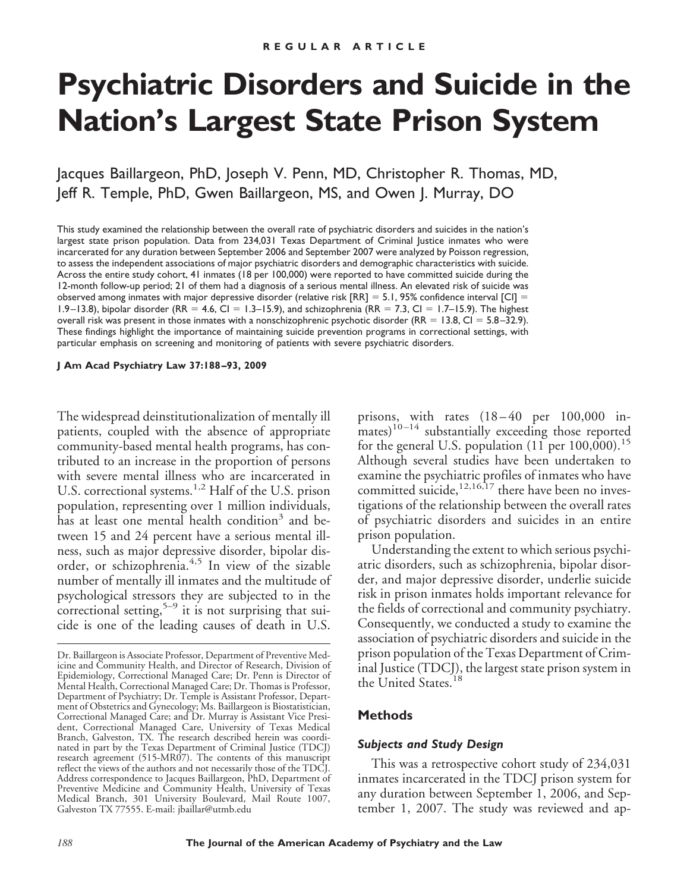# **Psychiatric Disorders and Suicide in the Nation's Largest State Prison System**

Jacques Baillargeon, PhD, Joseph V. Penn, MD, Christopher R. Thomas, MD, Jeff R. Temple, PhD, Gwen Baillargeon, MS, and Owen J. Murray, DO

This study examined the relationship between the overall rate of psychiatric disorders and suicides in the nation's largest state prison population. Data from 234,031 Texas Department of Criminal Justice inmates who were incarcerated for any duration between September 2006 and September 2007 were analyzed by Poisson regression, to assess the independent associations of major psychiatric disorders and demographic characteristics with suicide. Across the entire study cohort, 41 inmates (18 per 100,000) were reported to have committed suicide during the 12-month follow-up period; 21 of them had a diagnosis of a serious mental illness. An elevated risk of suicide was observed among inmates with major depressive disorder (relative risk  $[RR] = 5.1$ , 95% confidence interval  $[CI] =$ 1.9 –13.8), bipolar disorder (RR = 4.6, CI = 1.3–15.9), and schizophrenia (RR = 7.3, CI = 1.7–15.9). The highest overall risk was present in those inmates with a nonschizophrenic psychotic disorder (RR = 13.8, Cl = 5.8-32.9). These findings highlight the importance of maintaining suicide prevention programs in correctional settings, with particular emphasis on screening and monitoring of patients with severe psychiatric disorders.

**J Am Acad Psychiatry Law 37:188 –93, 2009**

The widespread deinstitutionalization of mentally ill patients, coupled with the absence of appropriate community-based mental health programs, has contributed to an increase in the proportion of persons with severe mental illness who are incarcerated in U.S. correctional systems.<sup>1,2</sup> Half of the U.S. prison population, representing over 1 million individuals, has at least one mental health condition<sup>3</sup> and between 15 and 24 percent have a serious mental illness, such as major depressive disorder, bipolar disorder, or schizophrenia.4,5 In view of the sizable number of mentally ill inmates and the multitude of psychological stressors they are subjected to in the correctional setting,<sup>5–9</sup> it is not surprising that suicide is one of the leading causes of death in U.S.

prisons, with rates (18-40 per 100,000 in- $\frac{1}{2}$  mates)<sup>10-14</sup> substantially exceeding those reported for the general U.S. population  $(11 \text{ per } 100,000)$ .<sup>15</sup> Although several studies have been undertaken to examine the psychiatric profiles of inmates who have committed suicide, $12,16,17$  there have been no investigations of the relationship between the overall rates of psychiatric disorders and suicides in an entire prison population.

Understanding the extent to which serious psychiatric disorders, such as schizophrenia, bipolar disorder, and major depressive disorder, underlie suicide risk in prison inmates holds important relevance for the fields of correctional and community psychiatry. Consequently, we conducted a study to examine the association of psychiatric disorders and suicide in the prison population of the Texas Department of Criminal Justice (TDCJ), the largest state prison system in the United States.<sup>18</sup>

## **Methods**

### *Subjects and Study Design*

This was a retrospective cohort study of 234,031 inmates incarcerated in the TDCJ prison system for any duration between September 1, 2006, and September 1, 2007. The study was reviewed and ap-

Dr. Baillargeon is Associate Professor, Department of Preventive Medicine and Community Health, and Director of Research, Division of Epidemiology, Correctional Managed Care; Dr. Penn is Director of Mental Health, Correctional Managed Care; Dr. Thomas is Professor, Department of Psychiatry; Dr. Temple is Assistant Professor, Department of Obstetrics and Gynecology; Ms. Baillargeon is Biostatistician, Correctional Managed Care; and Dr. Murray is Assistant Vice President, Correctional Managed Care, University of Texas Medical Branch, Galveston, TX. The research described herein was coordinated in part by the Texas Department of Criminal Justice (TDCJ) research agreement (515-MR07). The contents of this manuscript reflect the views of the authors and not necessarily those of the TDCJ. Address correspondence to Jacques Baillargeon, PhD, Department of Preventive Medicine and Community Health, University of Texas Medical Branch, 301 University Boulevard, Mail Route 1007, Galveston TX 77555. E-mail: jbaillar@utmb.edu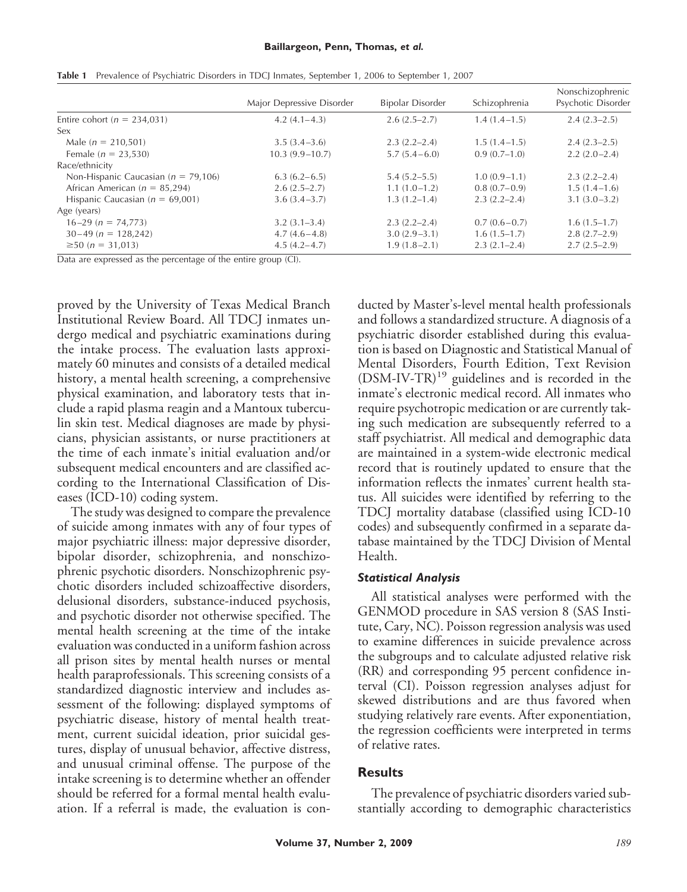|                                         | Major Depressive Disorder | Bipolar Disorder | Schizophrenia    | Nonschizophrenic<br>Psychotic Disorder |
|-----------------------------------------|---------------------------|------------------|------------------|----------------------------------------|
| Entire cohort ( $n = 234,031$ )         | $4.2(4.1 - 4.3)$          | $2.6(2.5-2.7)$   | $1.4(1.4-1.5)$   | $2.4(2.3-2.5)$                         |
| Sex                                     |                           |                  |                  |                                        |
| Male $(n = 210,501)$                    | $3.5(3.4-3.6)$            | $2.3(2.2-2.4)$   | $1.5(1.4-1.5)$   | $2.4(2.3-2.5)$                         |
| Female ( $n = 23,530$ )                 | $10.3(9.9 - 10.7)$        | $5.7(5.4-6.0)$   | $0.9(0.7-1.0)$   | $2.2(2.0-2.4)$                         |
| Race/ethnicity                          |                           |                  |                  |                                        |
| Non-Hispanic Caucasian ( $n = 79,106$ ) | $6.3(6.2-6.5)$            | $5.4(5.2 - 5.5)$ | $1.0(0.9-1.1)$   | $2.3(2.2 - 2.4)$                       |
| African American ( $n = 85,294$ )       | $2.6(2.5-2.7)$            | $1.1(1.0-1.2)$   | $0.8(0.7-0.9)$   | $1.5(1.4-1.6)$                         |
| Hispanic Caucasian ( $n = 69,001$ )     | $3.6(3.4-3.7)$            | $1.3(1.2 - 1.4)$ | $2.3(2.2 - 2.4)$ | $3.1(3.0-3.2)$                         |
| Age (years)                             |                           |                  |                  |                                        |
| $16-29$ (n = 74,773)                    | $3.2(3.1 - 3.4)$          | $2.3(2.2 - 2.4)$ | $0.7(0.6-0.7)$   | $1.6(1.5-1.7)$                         |
| $30-49$ (n = 128,242)                   | $4.7(4.6-4.8)$            | $3.0(2.9-3.1)$   | $1.6(1.5-1.7)$   | $2.8(2.7-2.9)$                         |
| $\geq$ 50 ( <i>n</i> = 31,013)          | $4.5(4.2 - 4.7)$          | $1.9(1.8-2.1)$   | $2.3(2.1-2.4)$   | $2.7(2.5-2.9)$                         |
|                                         |                           |                  |                  |                                        |

Table 1 Prevalence of Psychiatric Disorders in TDCJ Inmates, September 1, 2006 to September 1, 2007

Data are expressed as the percentage of the entire group (CI).

proved by the University of Texas Medical Branch Institutional Review Board. All TDCJ inmates undergo medical and psychiatric examinations during the intake process. The evaluation lasts approximately 60 minutes and consists of a detailed medical history, a mental health screening, a comprehensive physical examination, and laboratory tests that include a rapid plasma reagin and a Mantoux tuberculin skin test. Medical diagnoses are made by physicians, physician assistants, or nurse practitioners at the time of each inmate's initial evaluation and/or subsequent medical encounters and are classified according to the International Classification of Diseases (ICD-10) coding system.

The study was designed to compare the prevalence of suicide among inmates with any of four types of major psychiatric illness: major depressive disorder, bipolar disorder, schizophrenia, and nonschizophrenic psychotic disorders. Nonschizophrenic psychotic disorders included schizoaffective disorders, delusional disorders, substance-induced psychosis, and psychotic disorder not otherwise specified. The mental health screening at the time of the intake evaluation was conducted in a uniform fashion across all prison sites by mental health nurses or mental health paraprofessionals. This screening consists of a standardized diagnostic interview and includes assessment of the following: displayed symptoms of psychiatric disease, history of mental health treatment, current suicidal ideation, prior suicidal gestures, display of unusual behavior, affective distress, and unusual criminal offense. The purpose of the intake screening is to determine whether an offender should be referred for a formal mental health evaluation. If a referral is made, the evaluation is conducted by Master's-level mental health professionals and follows a standardized structure. A diagnosis of a psychiatric disorder established during this evaluation is based on Diagnostic and Statistical Manual of Mental Disorders, Fourth Edition, Text Revision  $(DSM-IV-TR)^{19}$  guidelines and is recorded in the inmate's electronic medical record. All inmates who require psychotropic medication or are currently taking such medication are subsequently referred to a staff psychiatrist. All medical and demographic data are maintained in a system-wide electronic medical record that is routinely updated to ensure that the information reflects the inmates' current health status. All suicides were identified by referring to the TDCJ mortality database (classified using ICD-10 codes) and subsequently confirmed in a separate database maintained by the TDCJ Division of Mental Health.

## *Statistical Analysis*

All statistical analyses were performed with the GENMOD procedure in SAS version 8 (SAS Institute, Cary, NC). Poisson regression analysis was used to examine differences in suicide prevalence across the subgroups and to calculate adjusted relative risk (RR) and corresponding 95 percent confidence interval (CI). Poisson regression analyses adjust for skewed distributions and are thus favored when studying relatively rare events. After exponentiation, the regression coefficients were interpreted in terms of relative rates.

## **Results**

The prevalence of psychiatric disorders varied substantially according to demographic characteristics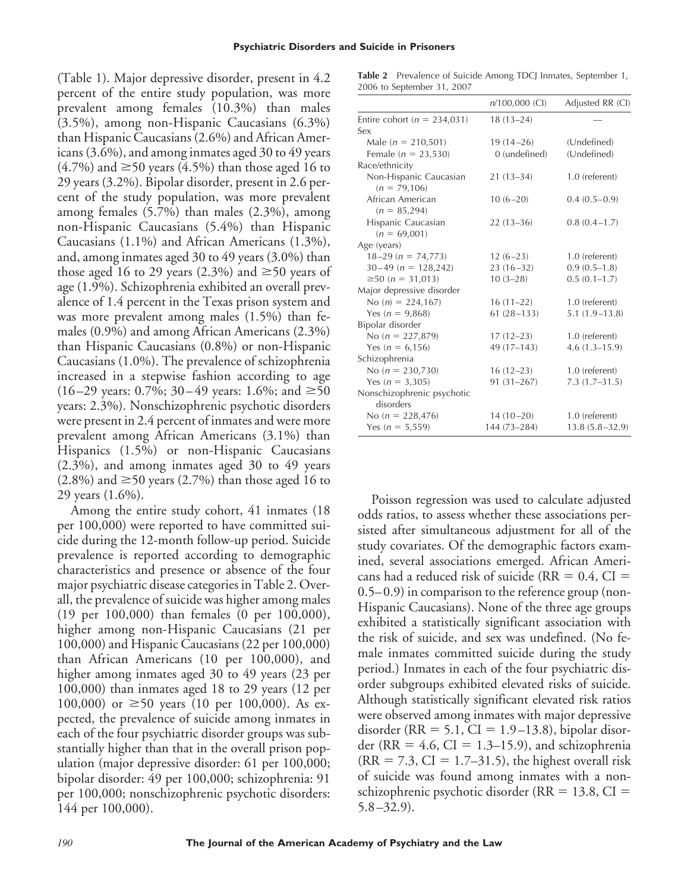(Table 1). Major depressive disorder, present in 4.2 percent of the entire study population, was more prevalent among females (10.3%) than males (3.5%), among non-Hispanic Caucasians (6.3%) than Hispanic Caucasians (2.6%) and African Americans (3.6%), and among inmates aged 30 to 49 years  $(4.7\%)$  and  $\geq$  50 years (4.5%) than those aged 16 to 29 years (3.2%). Bipolar disorder, present in 2.6 percent of the study population, was more prevalent among females (5.7%) than males (2.3%), among non-Hispanic Caucasians (5.4%) than Hispanic Caucasians (1.1%) and African Americans (1.3%), and, among inmates aged 30 to 49 years (3.0%) than those aged 16 to 29 years (2.3%) and  $\geq 50$  years of age (1.9%). Schizophrenia exhibited an overall prevalence of 1.4 percent in the Texas prison system and was more prevalent among males (1.5%) than females (0.9%) and among African Americans (2.3%) than Hispanic Caucasians (0.8%) or non-Hispanic Caucasians (1.0%). The prevalence of schizophrenia increased in a stepwise fashion according to age  $(16–29 \text{ years: } 0.7\%; 30–49 \text{ years: } 1.6\%; \text{ and } \geq 50$ years: 2.3%). Nonschizophrenic psychotic disorders were present in 2.4 percent of inmates and were more prevalent among African Americans (3.1%) than Hispanics (1.5%) or non-Hispanic Caucasians (2.3%), and among inmates aged 30 to 49 years  $(2.8\%)$  and  $\geq$  50 years (2.7%) than those aged 16 to 29 years (1.6%).

Among the entire study cohort, 41 inmates (18 per 100,000) were reported to have committed suicide during the 12-month follow-up period. Suicide prevalence is reported according to demographic characteristics and presence or absence of the four major psychiatric disease categories in Table 2. Overall, the prevalence of suicide was higher among males (19 per 100,000) than females (0 per 100,000), higher among non-Hispanic Caucasians (21 per 100,000) and Hispanic Caucasians (22 per 100,000) than African Americans (10 per 100,000), and higher among inmates aged 30 to 49 years (23 per 100,000) than inmates aged 18 to 29 years (12 per 100,000) or  $\geq 50$  years (10 per 100,000). As expected, the prevalence of suicide among inmates in each of the four psychiatric disorder groups was substantially higher than that in the overall prison population (major depressive disorder: 61 per 100,000; bipolar disorder: 49 per 100,000; schizophrenia: 91 per 100,000; nonschizophrenic psychotic disorders: 144 per 100,000).

**Table 2** Prevalence of Suicide Among TDCJ Inmates, September 1, 2006 to September 31, 2007

|                                          | $n/100,000$ (CI) | Adjusted RR (CI)   |
|------------------------------------------|------------------|--------------------|
| Entire cohort ( $n = 234,031$ )          | $18(13-24)$      |                    |
| Sex                                      |                  |                    |
| Male ( $n = 210,501$ )                   | $19(14-26)$      | (Undefined)        |
| Female ( $n = 23,530$ )                  | 0 (undefined)    | (Undefined)        |
| Race/ethnicity                           |                  |                    |
| Non-Hispanic Caucasian<br>$(n = 79,106)$ | $21(13-34)$      | 1.0 (referent)     |
| African American<br>$(n = 85,294)$       | $10(6-20)$       | $0.4(0.5-0.9)$     |
| Hispanic Caucasian<br>$(n = 69,001)$     | $22(13-36)$      | $0.8(0.4-1.7)$     |
| Age (years)                              |                  |                    |
| $18-29$ (n = 74,773)                     | $12(6-23)$       | 1.0 (referent)     |
| $30-49$ (n = 128,242)                    | $23(16-32)$      | $0.9(0.5-1.8)$     |
| $≥50 (n = 31,013)$                       | $10(3-28)$       | $0.5(0.1-1.7)$     |
| Major depressive disorder                |                  |                    |
| No $(n) = 224,167$                       | $16(11-22)$      | 1.0 (referent)     |
| Yes ( $n = 9,868$ )                      | $61(28-133)$     | $5.1(1.9-13.8)$    |
| Bipolar disorder                         |                  |                    |
| No ( $n = 227,879$ )                     | $17(12-23)$      | 1.0 (referent)     |
| Yes ( $n = 6,156$ )                      | 49 (17-143)      | $4.6(1.3 - 15.9)$  |
| Schizophrenia                            |                  |                    |
| No $(n = 230,730)$                       | $16(12-23)$      | 1.0 (referent)     |
| Yes $(n = 3,305)$                        | $91(31 - 267)$   | $7.3(1.7-31.5)$    |
| Nonschizophrenic psychotic<br>disorders  |                  |                    |
| No $(n = 228,476)$                       | $14(10-20)$      | 1.0 (referent)     |
| Yes ( $n = 5,559$ )                      | 144 (73-284)     | $13.8(5.8 - 32.9)$ |

Poisson regression was used to calculate adjusted odds ratios, to assess whether these associations persisted after simultaneous adjustment for all of the study covariates. Of the demographic factors examined, several associations emerged. African Americans had a reduced risk of suicide ( $RR = 0.4$ ,  $CI =$ 0.5– 0.9) in comparison to the reference group (non-Hispanic Caucasians). None of the three age groups exhibited a statistically significant association with the risk of suicide, and sex was undefined. (No female inmates committed suicide during the study period.) Inmates in each of the four psychiatric disorder subgroups exhibited elevated risks of suicide. Although statistically significant elevated risk ratios were observed among inmates with major depressive disorder (RR = 5.1, CI =  $1.9-13.8$ ), bipolar disorder (RR =  $4.6$ , CI = 1.3–15.9), and schizophrenia  $(RR = 7.3, CI = 1.7–31.5)$ , the highest overall risk of suicide was found among inmates with a nonschizophrenic psychotic disorder ( $RR = 13.8$ ,  $CI =$  $5.8 - 32.9$ .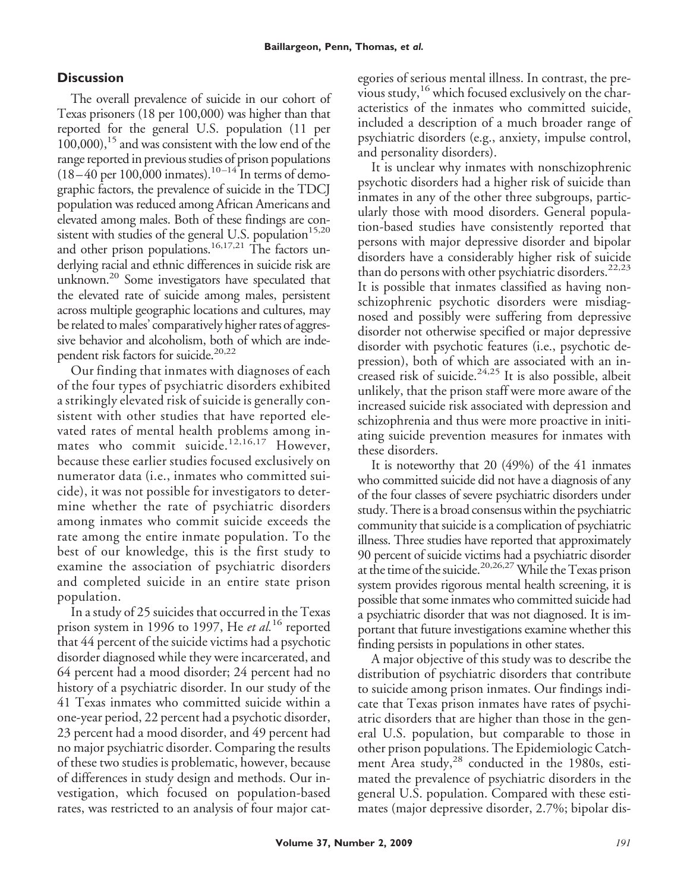# **Discussion**

The overall prevalence of suicide in our cohort of Texas prisoners (18 per 100,000) was higher than that reported for the general U.S. population (11 per  $100,000$ ,  $15$  and was consistent with the low end of the range reported in previous studies of prison populations  $(18-40 \text{ per } 100,000 \text{ inmates})$ .<sup>10-14</sup> In terms of demographic factors, the prevalence of suicide in the TDCJ population was reduced among African Americans and elevated among males. Both of these findings are consistent with studies of the general U.S. population $15,20$ and other prison populations.<sup>16,17,21</sup> The factors underlying racial and ethnic differences in suicide risk are unknown.<sup>20</sup> Some investigators have speculated that the elevated rate of suicide among males, persistent across multiple geographic locations and cultures, may be related to males' comparatively higher rates of aggressive behavior and alcoholism, both of which are independent risk factors for suicide.<sup>20,22</sup>

Our finding that inmates with diagnoses of each of the four types of psychiatric disorders exhibited a strikingly elevated risk of suicide is generally consistent with other studies that have reported elevated rates of mental health problems among inmates who commit suicide.<sup>12,16,17</sup> However, because these earlier studies focused exclusively on numerator data (i.e., inmates who committed suicide), it was not possible for investigators to determine whether the rate of psychiatric disorders among inmates who commit suicide exceeds the rate among the entire inmate population. To the best of our knowledge, this is the first study to examine the association of psychiatric disorders and completed suicide in an entire state prison population.

In a study of 25 suicides that occurred in the Texas prison system in 1996 to 1997, He *et al.*<sup>16</sup> reported that 44 percent of the suicide victims had a psychotic disorder diagnosed while they were incarcerated, and 64 percent had a mood disorder; 24 percent had no history of a psychiatric disorder. In our study of the 41 Texas inmates who committed suicide within a one-year period, 22 percent had a psychotic disorder, 23 percent had a mood disorder, and 49 percent had no major psychiatric disorder. Comparing the results of these two studies is problematic, however, because of differences in study design and methods. Our investigation, which focused on population-based rates, was restricted to an analysis of four major categories of serious mental illness. In contrast, the previous study,<sup>16</sup> which focused exclusively on the characteristics of the inmates who committed suicide, included a description of a much broader range of psychiatric disorders (e.g., anxiety, impulse control, and personality disorders).

It is unclear why inmates with nonschizophrenic psychotic disorders had a higher risk of suicide than inmates in any of the other three subgroups, particularly those with mood disorders. General population-based studies have consistently reported that persons with major depressive disorder and bipolar disorders have a considerably higher risk of suicide than do persons with other psychiatric disorders.<sup>22,23</sup> It is possible that inmates classified as having nonschizophrenic psychotic disorders were misdiagnosed and possibly were suffering from depressive disorder not otherwise specified or major depressive disorder with psychotic features (i.e., psychotic depression), both of which are associated with an increased risk of suicide.<sup>24,25</sup> It is also possible, albeit unlikely, that the prison staff were more aware of the increased suicide risk associated with depression and schizophrenia and thus were more proactive in initiating suicide prevention measures for inmates with these disorders.

It is noteworthy that 20 (49%) of the 41 inmates who committed suicide did not have a diagnosis of any of the four classes of severe psychiatric disorders under study. There is a broad consensus within the psychiatric community that suicide is a complication of psychiatric illness. Three studies have reported that approximately 90 percent of suicide victims had a psychiatric disorder at the time of the suicide.<sup>20,26,27</sup> While the Texas prison system provides rigorous mental health screening, it is possible that some inmates who committed suicide had a psychiatric disorder that was not diagnosed. It is important that future investigations examine whether this finding persists in populations in other states.

A major objective of this study was to describe the distribution of psychiatric disorders that contribute to suicide among prison inmates. Our findings indicate that Texas prison inmates have rates of psychiatric disorders that are higher than those in the general U.S. population, but comparable to those in other prison populations. The Epidemiologic Catchment Area study,<sup>28</sup> conducted in the 1980s, estimated the prevalence of psychiatric disorders in the general U.S. population. Compared with these estimates (major depressive disorder, 2.7%; bipolar dis-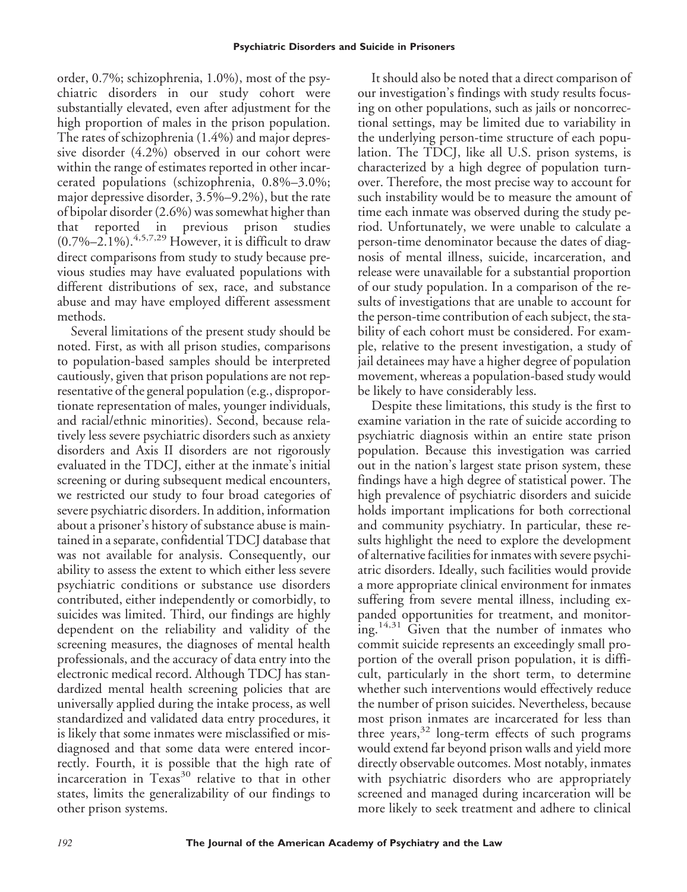order, 0.7%; schizophrenia, 1.0%), most of the psychiatric disorders in our study cohort were substantially elevated, even after adjustment for the high proportion of males in the prison population. The rates of schizophrenia (1.4%) and major depressive disorder (4.2%) observed in our cohort were within the range of estimates reported in other incarcerated populations (schizophrenia, 0.8%–3.0%; major depressive disorder, 3.5%–9.2%), but the rate of bipolar disorder (2.6%) was somewhat higher than that reported in previous prison studies  $(0.7\% - 2.1\%)$ .<sup>4,5,7,29</sup> However, it is difficult to draw direct comparisons from study to study because previous studies may have evaluated populations with different distributions of sex, race, and substance abuse and may have employed different assessment methods.

Several limitations of the present study should be noted. First, as with all prison studies, comparisons to population-based samples should be interpreted cautiously, given that prison populations are not representative of the general population (e.g., disproportionate representation of males, younger individuals, and racial/ethnic minorities). Second, because relatively less severe psychiatric disorders such as anxiety disorders and Axis II disorders are not rigorously evaluated in the TDCJ, either at the inmate's initial screening or during subsequent medical encounters, we restricted our study to four broad categories of severe psychiatric disorders. In addition, information about a prisoner's history of substance abuse is maintained in a separate, confidential TDCJ database that was not available for analysis. Consequently, our ability to assess the extent to which either less severe psychiatric conditions or substance use disorders contributed, either independently or comorbidly, to suicides was limited. Third, our findings are highly dependent on the reliability and validity of the screening measures, the diagnoses of mental health professionals, and the accuracy of data entry into the electronic medical record. Although TDCJ has standardized mental health screening policies that are universally applied during the intake process, as well standardized and validated data entry procedures, it is likely that some inmates were misclassified or misdiagnosed and that some data were entered incorrectly. Fourth, it is possible that the high rate of incarceration in Texas<sup>30</sup> relative to that in other states, limits the generalizability of our findings to other prison systems.

It should also be noted that a direct comparison of our investigation's findings with study results focusing on other populations, such as jails or noncorrectional settings, may be limited due to variability in the underlying person-time structure of each population. The TDCJ, like all U.S. prison systems, is characterized by a high degree of population turnover. Therefore, the most precise way to account for such instability would be to measure the amount of time each inmate was observed during the study period. Unfortunately, we were unable to calculate a person-time denominator because the dates of diagnosis of mental illness, suicide, incarceration, and release were unavailable for a substantial proportion of our study population. In a comparison of the results of investigations that are unable to account for the person-time contribution of each subject, the stability of each cohort must be considered. For example, relative to the present investigation, a study of jail detainees may have a higher degree of population movement, whereas a population-based study would be likely to have considerably less.

Despite these limitations, this study is the first to examine variation in the rate of suicide according to psychiatric diagnosis within an entire state prison population. Because this investigation was carried out in the nation's largest state prison system, these findings have a high degree of statistical power. The high prevalence of psychiatric disorders and suicide holds important implications for both correctional and community psychiatry. In particular, these results highlight the need to explore the development of alternative facilities for inmates with severe psychiatric disorders. Ideally, such facilities would provide a more appropriate clinical environment for inmates suffering from severe mental illness, including expanded opportunities for treatment, and monitoring.<sup>14,31</sup> Given that the number of inmates who commit suicide represents an exceedingly small proportion of the overall prison population, it is difficult, particularly in the short term, to determine whether such interventions would effectively reduce the number of prison suicides. Nevertheless, because most prison inmates are incarcerated for less than three years,<sup>32</sup> long-term effects of such programs would extend far beyond prison walls and yield more directly observable outcomes. Most notably, inmates with psychiatric disorders who are appropriately screened and managed during incarceration will be more likely to seek treatment and adhere to clinical